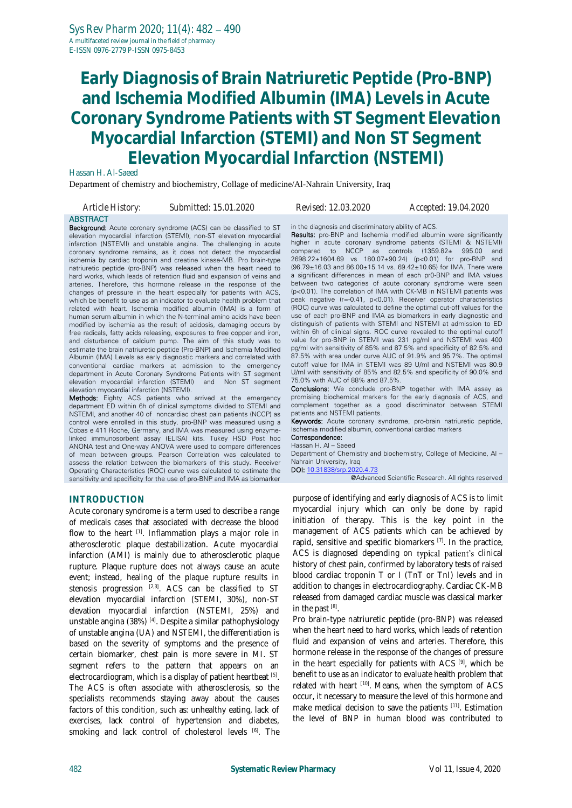#### Hassan H. Al-Saeed

Department of chemistry and biochemistry, Collage of medicine/Al-Nahrain University, Iraq

| Article History: | Submitted: 15.01.2020 |  |
|------------------|-----------------------|--|
| <b>ABSTRACT</b>  |                       |  |

Background: Acute coronary syndrome (ACS) can be classified to ST elevation myocardial infarction (STEMI), non-ST elevation myocardial infarction (NSTEMI) and unstable angina. The challenging in acute coronary syndrome remains, as it does not detect the myocardial ischemia by cardiac troponin and creatine kinase-MB. Pro brain-type natriuretic peptide (pro-BNP) was released when the heart need to hard works, which leads of retention fluid and expansion of veins and arteries. Therefore, this hormone release in the response of the changes of pressure in the heart especially for patients with ACS, which be benefit to use as an indicator to evaluate health problem that related with heart. Ischemia modified albumin (IMA) is a form of human serum albumin in which the N-terminal amino acids have been modified by ischemia as the result of acidosis, damaging occurs by free radicals, fatty acids releasing, exposures to free copper and iron, and disturbance of calcium pump. The aim of this study was to estimate the brain natriuretic peptide (Pro-BNP) and Ischemia Modified Albumin (IMA) Levels as early diagnostic markers and correlated with conventional cardiac markers at admission to the emergency department in Acute Coronary Syndrome Patients with ST segment<br>elevation myocardial infarction (STEMI) and Non ST segment elevation myocardial infarction (STEMI) elevation myocardial infarction (NSTEMI).

Methods: Eighty ACS patients who arrived at the emergency department ED within 6h of clinical symptoms divided to STEMI and NSTEMI, and another 40 of noncardiac chest pain patients (NCCP) as control were enrolled in this study. pro-BNP was measured using a Cobas e 411 Roche, Germany, and IMA was measured using enzymelinked immunosorbent assay (ELISA) kits. Tukey HSD Post hoc ANONA test and One-way ANOVA were used to compare differences of mean between groups. Pearson Correlation was calculated to assess the relation between the biomarkers of this study. Receiver Operating Characteristics (ROC) curve was calculated to estimate the sensitivity and specificity for the use of pro-BNP and IMA as biomarker

#### **INTRODUCTION**

Acute coronary syndrome is a term used to describe a range of medicals cases that associated with decrease the blood flow to the heart <sup>[1]</sup>. Inflammation plays a major role in atherosclerotic plaque destabilization. Acute myocardial infarction (AMI) is mainly due to atherosclerotic plaque rupture. Plaque rupture does not always cause an acute event; instead, healing of the plaque rupture results in stenosis progression <sup>[2,3]</sup>. ACS can be classified to ST elevation myocardial infarction (STEMI, 30%), non-ST elevation myocardial infarction (NSTEMI, 25%) and unstable angina (38%) [4] . Despite a similar pathophysiology of unstable angina (UA) and NSTEMI, the differentiation is based on the severity of symptoms and the presence of certain biomarker, chest pain is more severe in MI. ST segment refers to the pattern that appears on an electrocardiogram, which is a display of patient heartbeat [5]. The ACS is often associate with atherosclerosis, so the specialists recommends staying away about the causes factors of this condition, such as: unhealthy eating, lack of exercises, lack control of hypertension and diabetes, smoking and lack control of cholesterol levels <sup>[6]</sup>. The

*Article History: Submitted: 15.01.2020 Revised: 12.03.2020 Accepted: 19.04.2020*

in the diagnosis and discriminatory ability of ACS.

Results: pro-BNP and Ischemia modified albumin were significantly higher in acute coronary syndrome patients (STEMI & NSTEMI)<br>compared to NCCP as controls (1359.82± 995.00 and as controls  $(1359.82± 995.00$  and 2698.22±1604.69 vs 180.07±90.24) (p<0.01) for pro-BNP and (96.79±16.03 and 86.00±15.14 vs. 69.42±10.65) for IMA. There were a significant differences in mean of each pr0-BNP and IMA values between two categories of acute coronary syndrome were seen (p<0.01). The correlation of IMA with CK-MB in NSTEMI patients was peak negative (r=-0.41, p<0.01). Receiver operator characteristics (ROC) curve was calculated to define the optimal cut-off values for the use of each pro-BNP and IMA as biomarkers in early diagnostic and distinguish of patients with STEMI and NSTEMI at admission to ED within 6h of clinical signs. ROC curve revealed to the optimal cutoff value for pro-BNP in STEMI was 231 pg/ml and NSTEMI was 400 pg/ml with sensitivity of 85% and 87.5% and specificity of 82.5% and 87.5% with area under curve AUC of 91.9% and 95.7%. The optimal cutoff value for IMA in STEMI was 89 U/ml and NSTEMI was 80.9 U/ml with sensitivity of 85% and 82.5% and specificity of 90.0% and 75.0% with AUC of 88% and 87.5%.

Conclusions: We conclude pro-BNP together with IMA assay as promising biochemical markers for the early diagnosis of ACS, and complement together as a good discriminator between STEMI patients and NSTEMI patients.

Keywords: Acute coronary syndrome, pro-brain natriuretic peptide, Ischemia modified albumin, conventional cardiac markers

#### Correspondence: Hassan H. Al – Saeed

Department of Chemistry and biochemistry, College of Medicine, Al – Nahrain University, Iraq

DOI: [10.31838/srp.2020.4.73](http://dx.doi.org/10.5530/srp.2019.2.04) @Advanced Scientific Research. All rights reserved

purpose of identifying and early diagnosis of ACS is to limit myocardial injury which can only be done by rapid initiation of therapy. This is the key point in the management of ACS patients which can be achieved by rapid, sensitive and specific biomarkers [7]. In the practice, ACS is diagnosed depending on typical patient's clinical history of chest pain, confirmed by laboratory tests of raised blood cardiac troponin T or I (TnT or TnI) levels and in addition to changes in electrocardiography. Cardiac CK-MB released from damaged cardiac muscle was classical marker in the past [8].

Pro brain-type natriuretic peptide (pro-BNP) was released when the heart need to hard works, which leads of retention fluid and expansion of veins and arteries. Therefore, this hormone release in the response of the changes of pressure in the heart especially for patients with ACS [9], which be benefit to use as an indicator to evaluate health problem that related with heart [10]. Means, when the symptom of ACS occur, it necessary to measure the level of this hormone and make medical decision to save the patients [11] . Estimation the level of BNP in human blood was contributed to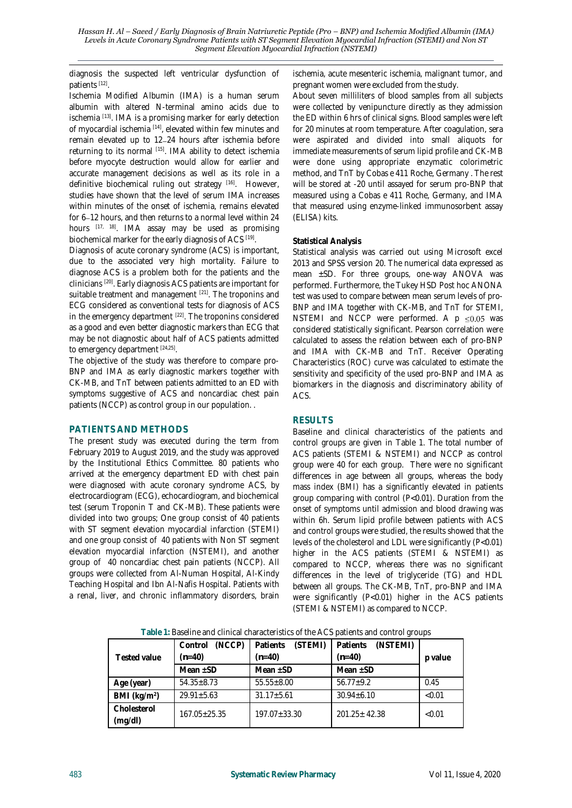diagnosis the suspected left ventricular dysfunction of patients [12] .

Ischemia Modified Albumin (IMA) is a human serum albumin with altered N-terminal amino acids due to ischemia<sup>[13]</sup>. IMA is a promising marker for early detection of myocardial ischemia <sup>[14]</sup>, elevated within few minutes and remain elevated up to 12-24 hours after ischemia before returning to its normal <sup>[15]</sup>. IMA ability to detect ischemia before myocyte destruction would allow for earlier and accurate management decisions as well as its role in a definitive biochemical ruling out strategy [16] . However, studies have shown that the level of serum IMA increases within minutes of the onset of ischemia, remains elevated for 6-12 hours, and then returns to a normal level within 24 hours [17, 18]. IMA assay may be used as promising biochemical marker for the early diagnosis of ACS [19].

Diagnosis of acute coronary syndrome (ACS) is important, due to the associated very high mortality. Failure to diagnose ACS is a problem both for the patients and the clinicians [20] . Early diagnosis ACS patients are important for suitable treatment and management <sup>[21]</sup>. The troponins and ECG considered as conventional tests for diagnosis of ACS in the emergency department <sup>[22]</sup>. The troponins considered as a good and even better diagnostic markers than ECG that may be not diagnostic about half of ACS patients admitted to emergency department [24,25].

The objective of the study was therefore to compare pro-BNP and IMA as early diagnostic markers together with CK-MB, and TnT between patients admitted to an ED with symptoms suggestive of ACS and noncardiac chest pain patients (NCCP) as control group in our population. .

### **PATIENTS AND METHODS**

The present study was executed during the term from February 2019 to August 2019, and the study was approved by the Institutional Ethics Committee. 80 patients who arrived at the emergency department ED with chest pain were diagnosed with acute coronary syndrome ACS, by electrocardiogram (ECG), echocardiogram, and biochemical test (serum Troponin T and CK-MB). These patients were divided into two groups; One group consist of 40 patients with ST segment elevation myocardial infarction (STEMI) and one group consist of 40 patients with Non ST segment elevation myocardial infarction (NSTEMI), and another group of 40 noncardiac chest pain patients (NCCP). All groups were collected from Al-Numan Hospital, Al-Kindy Teaching Hospital and Ibn Al-Nafis Hospital. Patients with a renal, liver, and chronic inflammatory disorders, brain

ischemia, acute mesenteric ischemia, malignant tumor, and pregnant women were excluded from the study.

About seven milliliters of blood samples from all subjects were collected by venipuncture directly as they admission the ED within 6 hrs of clinical signs. Blood samples were left for 20 minutes at room temperature. After coagulation, sera were aspirated and divided into small aliquots for immediate measurements of serum lipid profile and CK-MB were done using appropriate enzymatic colorimetric method, and TnT by Cobas e 411 Roche, Germany . The rest will be stored at -20 until assayed for serum pro-BNP that measured using a Cobas e 411 Roche, Germany, and IMA that measured using enzyme-linked immunosorbent assay (ELISA) kits.

### **Statistical Analysis**

Statistical analysis was carried out using Microsoft excel 2013 and SPSS version 20. The numerical data expressed as mean ±SD. For three groups, one-way ANOVA was performed. Furthermore, the Tukey HSD Post hoc ANONA test was used to compare between mean serum levels of pro-BNP and IMA together with CK-MB, and TnT for STEMI, NSTEMI and NCCP were performed. A  $p \le 0.05$  was considered statistically significant. Pearson correlation were calculated to assess the relation between each of pro-BNP and IMA with CK-MB and TnT. Receiver Operating Characteristics (ROC) curve was calculated to estimate the sensitivity and specificity of the used pro-BNP and IMA as biomarkers in the diagnosis and discriminatory ability of ACS.

### **RESULTS**

Baseline and clinical characteristics of the patients and control groups are given in Table 1. The total number of ACS patients (STEMI & NSTEMI) and NCCP as control group were 40 for each group. There were no significant differences in age between all groups, whereas the body mass index (BMI) has a significantly elevated in patients group comparing with control (P<0.01). Duration from the onset of symptoms until admission and blood drawing was within 6h. Serum lipid profile between patients with ACS and control groups were studied, the results showed that the levels of the cholesterol and LDL were significantly (P<0.01) higher in the ACS patients (STEMI & NSTEMI) as compared to NCCP, whereas there was no significant differences in the level of triglyceride (TG) and HDL between all groups. The CK-MB, TnT, pro-BNP and IMA were significantly (P<0.01) higher in the ACS patients (STEMI & NSTEMI) as compared to NCCP.

|                        | (NCCP)<br>Control | (STEMI)<br>Patients | (NSTEMI)<br>Patients |         |  |  |
|------------------------|-------------------|---------------------|----------------------|---------|--|--|
| Tested value           | $(n=40)$          | $(n=40)$            | $(n=40)$             | p value |  |  |
|                        | Mean $+SD$        | Mean $+SD$          | Mean $+SD$           |         |  |  |
| Age (year)             | $54.35 + 8.73$    | $55.55 + 8.00$      | $56.77 + 9.2$        | 0.45    |  |  |
| BMI $(kg/m2)$          | $29.91 + 5.63$    | $31.17 \pm 5.61$    | $30.94 \pm 6.10$     | < 0.01  |  |  |
| Cholesterol<br>(mg/dl) | $167.05 + 25.35$  | $197.07 + 33.30$    | $201.25 + 42.38$     | < 0.01  |  |  |

**Table 1:** Baseline and clinical characteristics of the ACS patients and control groups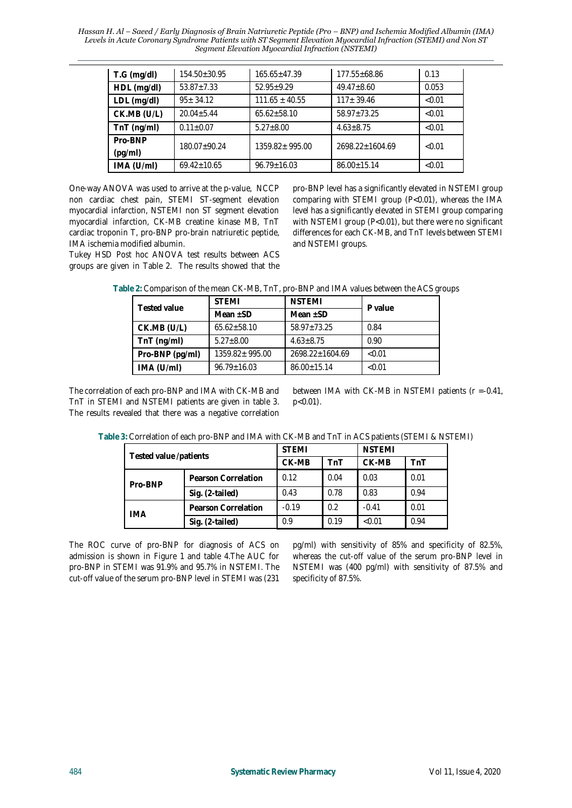*Hassan H. Al – Saeed / Early Diagnosis of Brain Natriuretic Peptide (Pro – BNP) and Ischemia Modified Albumin (IMA) Levels in Acute Coronary Syndrome Patients with ST Segment Elevation Myocardial Infraction (STEMI) and Non ST Segment Elevation Myocardial Infraction (NSTEMI)*

| $T.G$ (mg/dl)      | $154.50 \pm 30.95$ | $165.65 + 47.39$   | $177.55 \pm 68.86$ | 0.13   |
|--------------------|--------------------|--------------------|--------------------|--------|
| HDL (mg/dl)        | $53.87 + 7.33$     | $52.95 + 9.29$     | $49.47 + 8.60$     | 0.053  |
| $LDL$ (mg/dl)      | $95 \pm 34.12$     | $111.65 \pm 40.55$ | $117 + 39.46$      | < 0.01 |
| CK.MB (U/L)        | $20.04 + 5.44$     | $65.62 \pm 58.10$  | 58.97+73.25        | < 0.01 |
| TnT (ng/ml)        | $0.11 \pm 0.07$    | $5.27 + 8.00$      | $4.63 \pm 8.75$    | < 0.01 |
| Pro-BNP<br>(pq/ml) | 180.07+90.24       | 1359.82±995.00     | 2698.22+1604.69    | < 0.01 |
| IMA (U/ml)         | $69.42 + 10.65$    | $96.79 + 16.03$    | $86.00 + 15.14$    | < 0.01 |

One-way ANOVA was used to arrive at the p-value, NCCP non cardiac chest pain, STEMI ST-segment elevation myocardial infarction, NSTEMI non ST segment elevation myocardial infarction, CK-MB creatine kinase MB, TnT cardiac troponin T, pro-BNP pro-brain natriuretic peptide, IMA ischemia modified albumin.

Tukey HSD Post hoc ANOVA test results between ACS groups are given in Table 2. The results showed that the

pro-BNP level has a significantly elevated in NSTEMI group comparing with STEMI group (P<0.01), whereas the IMA level has a significantly elevated in STEMI group comparing with NSTEMI group (P<0.01), but there were no significant differences for each CK-MB, and TnT levels between STEMI and NSTEMI groups.

|  |  | Table 2: Comparison of the mean CK-MB, TnT, pro-BNP and IMA values between the ACS groups |
|--|--|-------------------------------------------------------------------------------------------|
|--|--|-------------------------------------------------------------------------------------------|

| Tested value    | <b>STEMI</b>      | <b>NSTEMI</b>     |         |  |
|-----------------|-------------------|-------------------|---------|--|
|                 | Mean $+SD$        | Mean $\pm$ SD     | P value |  |
| CK.MB (U/L)     | $65.62 + 58.10$   | 58.97+73.25       | 0.84    |  |
| $TnT$ (ng/ml)   | $5.27 + 8.00$     | $4.63 + 8.75$     | 0.90    |  |
| Pro-BNP (pg/ml) | 1359.82+995.00    | 2698.22±1604.69   | < 0.01  |  |
| IMA (U/ml)      | $96.79 \pm 16.03$ | $86.00 \pm 15.14$ | < 0.01  |  |

The correlation of each pro-BNP and IMA with CK-MB and TnT in STEMI and NSTEMI patients are given in table 3. The results revealed that there was a negative correlation between IMA with CK-MB in NSTEMI patients (r =-0.41, p<0.01).

| Tested value /patients         |                     | <b>STEMI</b> |      | <b>NSTEMI</b> |      |
|--------------------------------|---------------------|--------------|------|---------------|------|
|                                |                     | CK-MB        | TnT  | CK-MB         | TnT  |
| Pearson Correlation<br>Pro-BNP |                     | 0.12         | 0.04 | 0.03          | 0.01 |
|                                | Sig. (2-tailed)     | 0.43         | 0.78 | 0.83          | 0.94 |
| IMA                            | Pearson Correlation | $-0.19$      | 0.2  | $-0.41$       | 0.01 |
|                                | Sig. (2-tailed)     | 0.9          | 0.19 | < 0.01        | 0.94 |

The ROC curve of pro-BNP for diagnosis of ACS on admission is shown in Figure 1 and table 4.The AUC for pro-BNP in STEMI was 91.9% and 95.7% in NSTEMI. The cut-off value of the serum pro-BNP level in STEMI was (231 pg/ml) with sensitivity of 85% and specificity of 82.5%, whereas the cut-off value of the serum pro-BNP level in NSTEMI was (400 pg/ml) with sensitivity of 87.5% and specificity of 87.5%.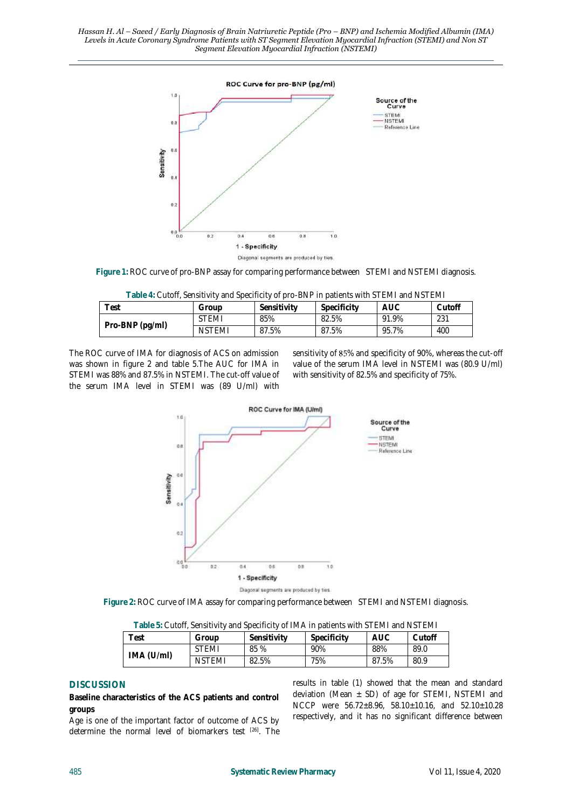

**Figure 1:** ROC curve of pro-BNP assay for comparing performance between STEMI and NSTEMI diagnosis.

|  | Table 4: Cutoff, Sensitivity and Specificity of pro-BNP in patients with STEMI and NSTEMI |
|--|-------------------------------------------------------------------------------------------|

| $\tau_{\mathsf{est}}$ | Group         | Sensitivity | Specificity | <b>AUC</b> | Cutoff |
|-----------------------|---------------|-------------|-------------|------------|--------|
| Pro-BNP (pg/ml)       | <b>STEMI</b>  | 85%         | 82.5%       | 91.9%      | 231    |
|                       | <b>NSTEMI</b> | 87.5%       | 87.5%       | 95.7%      | 400    |

The ROC curve of IMA for diagnosis of ACS on admission was shown in figure 2 and table 5.The AUC for IMA in STEMI was 88% and 87.5% in NSTEMI. The cut-off value of the serum IMA level in STEMI was (89 U/ml) with sensitivity of 85% and specificity of 90%, whereas the cut-off value of the serum IMA level in NSTEMI was (80.9 U/ml) with sensitivity of 82.5% and specificity of 75%.



**Figure 2:** ROC curve of IMA assay for comparing performance between STEMI and NSTEMI diagnosis.

| $\frac{1}{2}$ abic of Odton, Johanny Ry and Optomoty of hyp this pation is written of Eivit and the Fivil |               |             |             |       |        |  |
|-----------------------------------------------------------------------------------------------------------|---------------|-------------|-------------|-------|--------|--|
| $\tau_{\text{est}}$                                                                                       | Group         | Sensitivity | Specificity | auc   | Cutoff |  |
|                                                                                                           | <b>STEMI</b>  | 85 %        | 90%         | 88%   | 89.0   |  |
| IMA (U/m)                                                                                                 | <b>NSTEMI</b> | 82.5%       | 75%         | 87.5% | 80.9   |  |

**Table 5:** Cutoff, Sensitivity and Specificity of IMA in patients with STEMI and NSTEMI

## **DISCUSSION**

**Baseline characteristics of the ACS patients and control groups**

Age is one of the important factor of outcome of ACS by determine the normal level of biomarkers test [26] . The results in table (1) showed that the mean and standard deviation (Mean  $\pm$  SD) of age for STEMI, NSTEMI and NCCP were 56.72±8.96, 58.10±10.16, and 52.10±10.28 respectively, and it has no significant difference between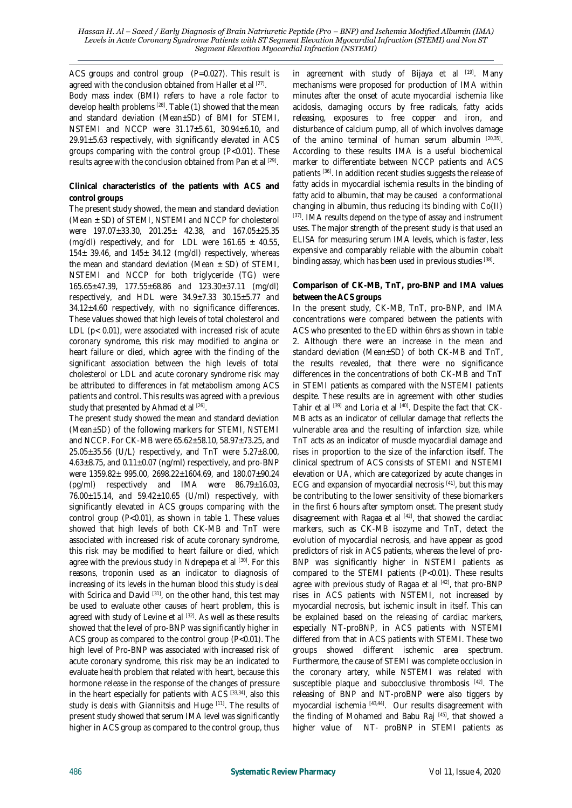ACS groups and control group (P=0.027). This result is agreed with the conclusion obtained from Haller et al [27]. Body mass index (BMI) refers to have a role factor to develop health problems <sup>[28]</sup>. Table (1) showed that the mean and standard deviation (Mean±SD) of BMI for STEMI, NSTEMI and NCCP were 31.17±5.61, 30.94±6.10, and  $29.91 \pm 5.63$  respectively, with significantly elevated in ACS groups comparing with the control group (P<0.01). These results agree with the conclusion obtained from Pan et al <sup>[29]</sup>.

**Clinical characteristics of the patients with ACS and control groups**

The present study showed, the mean and standard deviation (Mean ± SD) of STEMI, NSTEMI and NCCP for cholesterol were 197.07±33.30, 201.25± 42.38, and 167.05±25.35 (mg/dl) respectively, and for LDL were  $161.65 \pm 40.55$ ,  $154\pm 39.46$ , and  $145\pm 34.12$  (mg/dl) respectively, whereas the mean and standard deviation (Mean  $\pm$  SD) of STEMI, NSTEMI and NCCP for both triglyceride (TG) were 165.65±47.39, 177.55±68.86 and 123.30±37.11 (mg/dl) respectively, and HDL were 34.9±7.33 30.15±5.77 and 34.12±4.60 respectively, with no significance differences. These values showed that high levels of total cholesterol and LDL (p< 0.01), were associated with increased risk of acute coronary syndrome, this risk may modified to angina or heart failure or died, which agree with the finding of the significant association between the high levels of total cholesterol or LDL and acute coronary syndrome risk may be attributed to differences in fat metabolism among ACS patients and control. This results was agreed with a previous study that presented by Ahmad et al [26].

The present study showed the mean and standard deviation (Mean±SD) of the following markers for STEMI, NSTEMI and NCCP. For CK-MB were 65.62±58.10, 58.97±73.25, and  $25.05\pm35.56$  (U/L) respectively, and TnT were  $5.27\pm8.00$ , 4.63±8.75, and 0.11±0.07 (ng/ml) respectively, and pro-BNP were 1359.82± 995.00, 2698.22±1604.69, and 180.07±90.24 (pg/ml) respectively and IMA were 86.79±16.03,  $76.00 \pm 15.14$ , and  $59.42 \pm 10.65$  (U/ml) respectively, with significantly elevated in ACS groups comparing with the control group (P<0.01), as shown in table 1. These values showed that high levels of both CK-MB and TnT were associated with increased risk of acute coronary syndrome, this risk may be modified to heart failure or died, which agree with the previous study in Ndrepepa et al <sup>[30]</sup>. For this reasons, troponin used as an indicator to diagnosis of increasing of its levels in the human blood this study is deal with Scirica and David <sup>[31]</sup>, on the other hand, this test may be used to evaluate other causes of heart problem, this is agreed with study of Levine et al <sup>[32]</sup>. As well as these results showed that the level of pro-BNP was significantly higher in ACS group as compared to the control group (P<0.01). The high level of Pro-BNP was associated with increased risk of acute coronary syndrome, this risk may be an indicated to evaluate health problem that related with heart, because this hormone release in the response of the changes of pressure in the heart especially for patients with ACS [33,34], also this study is deals with Giannitsis and Huge [11] . The results of present study showed that serum IMA level was significantly higher in ACS group as compared to the control group, thus

in agreement with study of Bijaya et al <sup>[19]</sup>. Many mechanisms were proposed for production of IMA within minutes after the onset of acute myocardial ischemia like acidosis, damaging occurs by free radicals, fatty acids releasing, exposures to free copper and iron, and disturbance of calcium pump, all of which involves damage of the amino terminal of human serum albumin [20,35] . According to these results IMA is a useful biochemical marker to differentiate between NCCP patients and ACS patients [36] . In addition recent studies suggests the release of fatty acids in myocardial ischemia results in the binding of fatty acid to albumin, that may be caused a conformational changing in albumin, thus reducing its binding with Co(II) <sup>[37]</sup>. IMA results depend on the type of assay and instrument uses. The major strength of the present study is that used an ELISA for measuring serum IMA levels, which is faster, less expensive and comparably reliable with the albumin cobalt binding assay, which has been used in previous studies [38].

### **Comparison of CK-MB, TnT, pro-BNP and IMA values between the ACS groups**

In the present study, CK-MB, TnT, pro-BNP, and IMA concentrations were compared between the patients with ACS who presented to the ED within 6hrs as shown in table 2. Although there were an increase in the mean and standard deviation (Mean±SD) of both CK-MB and TnT, the results revealed, that there were no significance differences in the concentrations of both CK-MB and TnT in STEMI patients as compared with the NSTEMI patients despite. These results are in agreement with other studies Tahir et al <sup>[39]</sup> and Loria et al <sup>[40]</sup>. Despite the fact that CK-MB acts as an indicator of cellular damage that reflects the vulnerable area and the resulting of infarction size, while TnT acts as an indicator of muscle myocardial damage and rises in proportion to the size of the infarction itself. The clinical spectrum of ACS consists of STEMI and NSTEMI elevation or UA, which are categorized by acute changes in ECG and expansion of myocardial necrosis [41], but this may be contributing to the lower sensitivity of these biomarkers in the first 6 hours after symptom onset. The present study disagreement with Ragaa et al  $[42]$ , that showed the cardiac markers, such as CK-MB isozyme and TnT, detect the evolution of myocardial necrosis, and have appear as good predictors of risk in ACS patients, whereas the level of pro-BNP was significantly higher in NSTEMI patients as compared to the STEMI patients (P<0.01). These results agree with previous study of Ragaa et al <sup>[42]</sup>, that pro-BNP rises in ACS patients with NSTEMI, not increased by myocardial necrosis, but ischemic insult in itself. This can be explained based on the releasing of cardiac markers, especially NT-proBNP, in ACS patients with NSTEMI differed from that in ACS patients with STEMI. These two groups showed different ischemic area spectrum. Furthermore, the cause of STEMI was complete occlusion in the coronary artery, while NSTEMI was related with susceptible plaque and subocclusive thrombosis [42]. The releasing of BNP and NT-proBNP were also tiggers by myocardial ischemia <sup>[43,44]</sup>. Our results disagreement with the finding of Mohamed and Babu Raj [45] , that showed a higher value of NT- proBNP in STEMI patients as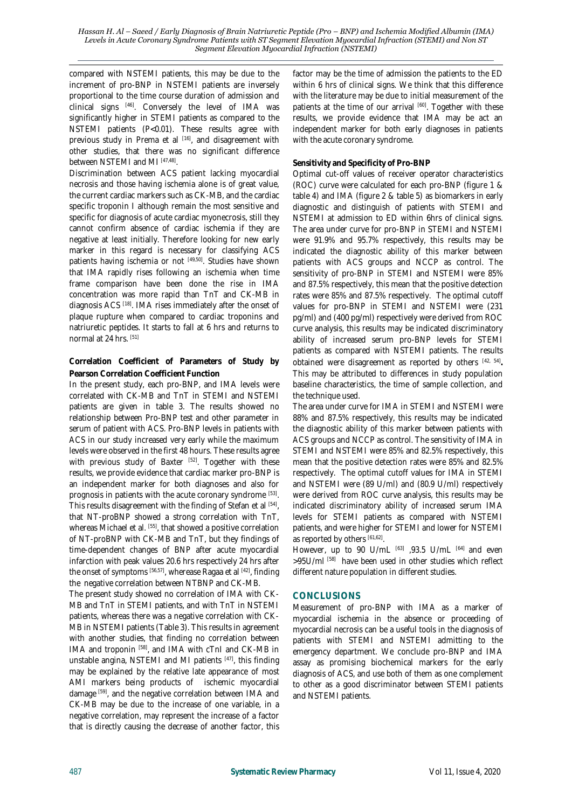compared with NSTEMI patients, this may be due to the increment of pro-BNP in NSTEMI patients are inversely proportional to the time course duration of admission and clinical signs [46] . Conversely the level of IMA was significantly higher in STEMI patients as compared to the NSTEMI patients (P<0.01). These results agree with previous study in Prema et al <sup>[16]</sup>, and disagreement with other studies, that there was no significant difference between NSTEMI and MI [47,48] .

Discrimination between ACS patient lacking myocardial necrosis and those having ischemia alone is of great value, the current cardiac markers such as CK-MB, and the cardiac specific troponin I although remain the most sensitive and specific for diagnosis of acute cardiac myonecrosis, still they cannot confirm absence of cardiac ischemia if they are negative at least initially. Therefore looking for new early marker in this regard is necessary for classifying ACS patients having ischemia or not <sup>[49,50]</sup>. Studies have shown that IMA rapidly rises following an ischemia when time frame comparison have been done the rise in IMA concentration was more rapid than TnT and CK-MB in diagnosis ACS<sup>[18]</sup>. IMA rises immediately after the onset of plaque rupture when compared to cardiac troponins and natriuretic peptides. It starts to fall at 6 hrs and returns to normal at 24 hrs. [51]

#### **Correlation Coefficient of Parameters of Study by Pearson Correlation Coefficient Function**

In the present study, each pro-BNP, and IMA levels were correlated with CK-MB and TnT in STEMI and NSTEMI patients are given in table 3. The results showed no relationship between Pro-BNP test and other parameter in serum of patient with ACS. Pro-BNP levels in patients with ACS in our study increased very early while the maximum levels were observed in the first 48 hours. These results agree with previous study of Baxter [52]. Together with these results, we provide evidence that cardiac marker pro-BNP is an independent marker for both diagnoses and also for prognosis in patients with the acute coronary syndrome [53]. This results disagreement with the finding of Stefan et al [54], that NT-proBNP showed a strong correlation with TnT, whereas Michael et al. [55] , that showed a positive correlation of NT-proBNP with CK-MB and TnT, but they findings of time-dependent changes of BNP after acute myocardial infarction with peak values 20.6 hrs respectively 24 hrs after the onset of symptoms [56,57], wherease Ragaa et al [42], finding the negative correlation between NTBNP and CK-MB.

The present study showed no correlation of IMA with CK-MB and TnT in STEMI patients, and with TnT in NSTEMI patients, whereas there was a negative correlation with CK-MB in NSTEMI patients (Table 3). This results in agreement with another studies, that finding no correlation between IMA and troponin <sup>[58]</sup>, and IMA with cTnI and CK-MB in unstable angina, NSTEMI and MI patients [47], this finding may be explained by the relative late appearance of most AMI markers being products of ischemic myocardial damage <sup>[59]</sup>, and the negative correlation between IMA and CK-MB may be due to the increase of one variable, in a negative correlation, may represent the increase of a factor that is directly causing the decrease of another factor, this

factor may be the time of admission the patients to the ED within 6 hrs of clinical signs. We think that this difference with the literature may be due to initial measurement of the patients at the time of our arrival [60]. Together with these results, we provide evidence that IMA may be act an independent marker for both early diagnoses in patients with the acute coronary syndrome.

### **Sensitivity and Specificity of Pro-BNP**

Optimal cut-off values of receiver operator characteristics (ROC) curve were calculated for each pro-BNP (figure 1 & table 4) and IMA (figure 2 & table 5) as biomarkers in early diagnostic and distinguish of patients with STEMI and NSTEMI at admission to ED within 6hrs of clinical signs. The area under curve for pro-BNP in STEMI and NSTEMI were 91.9% and 95.7% respectively, this results may be indicated the diagnostic ability of this marker between patients with ACS groups and NCCP as control. The sensitivity of pro-BNP in STEMI and NSTEMI were 85% and 87.5% respectively, this mean that the positive detection rates were 85% and 87.5% respectively. The optimal cutoff values for pro-BNP in STEMI and NSTEMI were (231 pg/ml) and (400 pg/ml) respectively were derived from ROC curve analysis, this results may be indicated discriminatory ability of increased serum pro-BNP levels for STEMI patients as compared with NSTEMI patients. The results obtained were disagreement as reported by others [42, 54] **.**  This may be attributed to differences in study population baseline characteristics, the time of sample collection, and the technique used.

The area under curve for IMA in STEMI and NSTEMI were 88% and 87.5% respectively, this results may be indicated the diagnostic ability of this marker between patients with ACS groups and NCCP as control. The sensitivity of IMA in STEMI and NSTEMI were 85% and 82.5% respectively, this mean that the positive detection rates were 85% and 82.5% respectively. The optimal cutoff values for IMA in STEMI and NSTEMI were (89 U/ml) and (80.9 U/ml) respectively were derived from ROC curve analysis, this results may be indicated discriminatory ability of increased serum IMA levels for STEMI patients as compared with NSTEMI patients, and were higher for STEMI and lower for NSTEMI as reported by others [61,62].

However, up to 90 U/mL  $[63]$  ,93.5 U/mL  $[64]$  and even >95U/ml [58] have been used in other studies which reflect different nature population in different studies.

### **CONCLUSIONS**

Measurement of pro-BNP with IMA as a marker of myocardial ischemia in the absence or proceeding of myocardial necrosis can be a useful tools in the diagnosis of patients with STEMI and NSTEMI admitting to the emergency department. We conclude pro-BNP and IMA assay as promising biochemical markers for the early diagnosis of ACS, and use both of them as one complement to other as a good discriminator between STEMI patients and NSTEMI patients.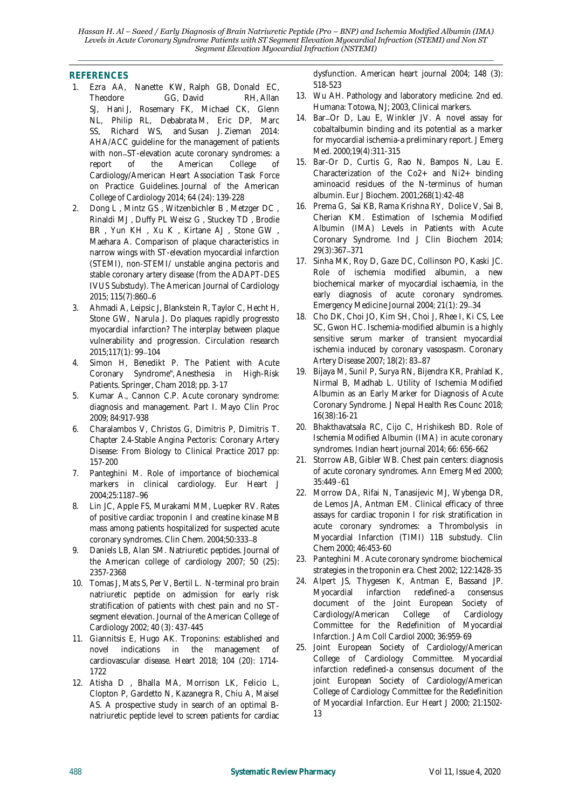### **REFERENCES**

- 1. Ezra AA, Nanette KW, Ralph GB, Donald EC, Theodore GG, David RH, Allan SJ, Hani J, Rosemary FK, Michael CK, Glenn NL, Philip RL, Debabrata M, Eric DP, Marc SS, Richard WS, and Susan J. Zieman 2014: AHA/ACC guideline for the management of patients with non-ST-elevation acute coronary syndromes: a report of the American College of Cardiology/American Heart Association Task Force on Practice Guidelines. Journal of the American College of Cardiology 2014; 64 (24): 139-228
- 2. Dong L , Mintz GS , Witzenbichler B , Metzger DC , Rinaldi MJ , Duffy PL Weisz G , Stuckey TD , Brodie BR, Yun KH, Xu K, Kirtane AJ, Stone GW, Maehara A. Comparison of plaque characteristics in narrow wings with ST-elevation myocardial infarction (STEMI), non-STEMI/ unstable angina pectoris and stable coronary artery disease (from the ADAPT-DES IVUS Substudy). The American Journal of Cardiology 2015; 115(7):860-6
- 3. Ahmadi A, Leipsic J, Blankstein R, Taylor C, Hecht H, Stone GW, Narula J. Do plaques rapidly progressto myocardial infarction? The interplay between plaque vulnerability and progression. Circulation research 2015;117(1): 99-104
- Simon H, Benedikt P. The Patient with Acute Coronary Syndrome", Anesthesia in High-Risk Patients. Springer, Cham 2018; pp. 3-17
- 5. Kumar A., Cannon C.P. Acute coronary syndrome: diagnosis and management. Part I. Mayo Clin Proc 2009; 84:917-938
- 6. Charalambos V, Christos G, Dimitris P, Dimitris T. Chapter 2.4-Stable Angina Pectoris: Coronary Artery Disease: From Biology to Clinical Practice 2017 pp: 157-200
- 7. Panteghini M. Role of importance of biochemical markers in clinical cardiology. Eur Heart J 2004;25:1187-96
- 8. Lin JC, Apple FS, Murakami MM, Luepker RV. Rates of positive cardiac troponin I and creatine kinase MB mass among patients hospitalized for suspected acute coronary syndromes. Clin Chem. 2004;50:333-8
- 9. Daniels LB, Alan SM. Natriuretic peptides. Journal of the American college of cardiology 2007; 50 (25): 2357-2368
- 10. Tomas J, Mats S, Per V, Bertil L. N-terminal pro brain natriuretic peptide on admission for early risk stratification of patients with chest pain and no STsegment elevation. Journal of the American College of Cardiology 2002; 40 (3): 437-445
- 11. Giannitsis E, Hugo AK. Troponins: established and novel indications in the management of cardiovascular disease. Heart 2018; 104 (20): 1714- 1722
- 12. Atisha D , Bhalla MA, Morrison LK, Felicio L, Clopton P, Gardetto N, Kazanegra R, Chiu A, Maisel AS. A prospective study in search of an optimal Bnatriuretic peptide level to screen patients for cardiac

dysfunction. American heart journal 2004; 148 (3): 518-523

- 13. Wu AH. Pathology and laboratory medicine. 2nd ed. Humana: Totowa, NJ; 2003, Clinical markers.
- 14. Bar-Or D, Lau E, Winkler JV. A novel assay for cobaltalbumin binding and its potential as a marker for myocardial ischemia-a preliminary report. J Emerg Med. 2000;19(4):311-315
- 15. Bar-Or D, Curtis G, Rao N, Bampos N, Lau E. Characterization of the Co2+ and Ni2+ binding aminoacid residues of the N-terminus of human albumin. Eur J Biochem. 2001;268(1):42-48
- 16. Prema G, Sai KB, Rama Krishna RY, Dolice V, Sai B, Cherian KM. Estimation of Ischemia Modified Albumin (IMA) Levels in Patients with Acute Coronary Syndrome. Ind J Clin Biochem 2014; 29(3):367-371
- 17. Sinha MK, Roy D, Gaze DC, Collinson PO, Kaski JC. Role of ischemia modified albumin, a new biochemical marker of myocardial ischaemia, in the early diagnosis of acute coronary syndromes. Emergency Medicine Journal 2004; 21(1): 29-34
- 18. Cho DK, Choi JO, Kim SH, Choi J, Rhee I, Ki CS, Lee SC, Gwon HC. Ischemia-modified albumin is a highly sensitive serum marker of transient myocardial ischemia induced by coronary vasospasm. Coronary Artery Disease 2007; 18(2): 83-87
- 19. Bijaya M, Sunil P, Surya RN, Bijendra KR, Prahlad K, Nirmal B, Madhab L. Utility of Ischemia Modified Albumin as an Early Marker for Diagnosis of Acute Coronary Syndrome. J Nepal Health Res Counc 2018; 16(38):16-21
- 20. Bhakthavatsala RC, Cijo C, Hrishikesh BD. Role of Ischemia Modified Albumin (IMA) in acute coronary syndromes. Indian heart journal 2014; 66: 656-662
- 21. Storrow AB, Gibler WB. Chest pain centers: diagnosis of acute coronary syndromes. Ann Emerg Med 2000; 35:449 -61
- 22. Morrow DA, Rifai N, Tanasijevic MJ, Wybenga DR, de Lemos JA, Antman EM. Clinical efficacy of three assays for cardiac troponin I for risk stratification in acute coronary syndromes: a Thrombolysis in Myocardial Infarction (TIMI) 11B substudy. Clin Chem 2000; 46:453-60
- 23. Panteghini M. Acute coronary syndrome: biochemical strategies in the troponin era. Chest 2002; 122:1428-35
- 24. Alpert JS, Thygesen K, Antman E, Bassand JP. Myocardial infarction redefined-a consensus document of the Joint European Society of Cardiology/American College of Cardiology Committee for the Redefinition of Myocardial Infarction. J Am Coll Cardiol 2000; 36:959-69
- 25. Joint European Society of Cardiology/American College of Cardiology Committee. Myocardial infarction redefined-a consensus document of the joint European Society of Cardiology/American College of Cardiology Committee for the Redefinition of Myocardial Infarction. Eur Heart J 2000; 21:1502- 13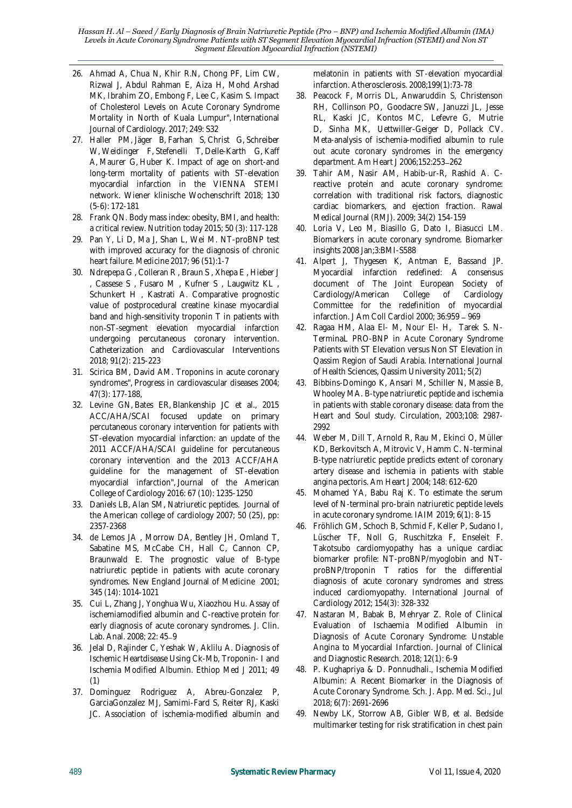- 26. Ahmad A, Chua N, Khir R.N, Chong PF, Lim CW, Rizwal J, Abdul Rahman E, Aiza H, Mohd Arshad MK, Ibrahim ZO, Embong F, Lee C, Kasim S. Impact of Cholesterol Levels on Acute Coronary Syndrome Mortality in North of Kuala Lumpur", International Journal of Cardiology. 2017; 249: S32
- 27. Haller PM, Jäger B, Farhan S, Christ G, Schreiber W, Weidinger F, Stefenelli T, Delle-Karth G, Kaff A, Maurer G, Huber K. Impact of age on short-and long-term mortality of patients with ST-elevation myocardial infarction in the VIENNA STEMI network. Wiener klinische Wochenschrift 2018; 130 (5-6): 172-181
- 28. Frank QN. Body mass index: obesity, BMI, and health: a critical review. Nutrition today 2015; 50 (3): 117-128
- 29. Pan Y, Li D, Ma J, Shan L, Wei M. NT-proBNP test with improved accuracy for the diagnosis of chronic heart failure. Medicine 2017; 96 (51):1-7
- 30. Ndrepepa G , Colleran R , Braun S , Xhepa E , Hieber J , Cassese S , Fusaro M , Kufner S , Laugwitz KL , Schunkert H , Kastrati A. Comparative prognostic value of postprocedural creatine kinase myocardial band and high‐sensitivity troponin T in patients with non‐ST‐segment elevation myocardial infarction undergoing percutaneous coronary intervention. Catheterization and Cardiovascular Interventions 2018; 91(2): 215-223
- 31. Scirica BM, David AM. Troponins in acute coronary syndromes", Progress in cardiovascular diseases 2004; 47(3): 177-188,
- 32. Levine GN, Bates ER, Blankenship JC et al., 2015 ACC/AHA/SCAI focused update on primary percutaneous coronary intervention for patients with ST-elevation myocardial infarction: an update of the 2011 ACCF/AHA/SCAI guideline for percutaneous coronary intervention and the 2013 ACCF/AHA guideline for the management of ST-elevation myocardial infarction", Journal of the American College of Cardiology 2016: 67 (10): 1235-1250
- 33. Daniels LB, Alan SM, Natriuretic peptides. Journal of the American college of cardiology 2007; 50 (25), pp: 2357-2368
- 34. de Lemos JA , Morrow DA, Bentley JH, Omland T, Sabatine MS, McCabe CH, Hall C, Cannon CP, Braunwald E. The prognostic value of B-type natriuretic peptide in patients with acute coronary syndromes. New England Journal of Medicine 2001; 345 (14): 1014-1021
- 35. Cui L, Zhang J, Yonghua Wu, Xiaozhou Hu. Assay of ischemiamodified albumin and C-reactive protein for early diagnosis of acute coronary syndromes. J. Clin. Lab. Anal. 2008; 22: 45-9
- 36. Jelal D, Rajinder C, Yeshak W, Aklilu A. Diagnosis of Ischemic Heartdisease Using Ck-Mb, Troponin- I and Ischemia Modified Albumin. Ethiop Med J 2011; 49 (1)
- 37. Dominguez Rodriguez A, Abreu-Gonzalez P, GarciaGonzalez MJ, Samimi-Fard S, Reiter RJ, Kaski JC. Association of ischemia-modified albumin and

melatonin in patients with ST-elevation myocardial infarction. Atherosclerosis. 2008;199(1):73-78

- 38. Peacock F, Morris DL, Anwaruddin S, Christenson RH, Collinson PO, Goodacre SW, Januzzi JL, Jesse RL, Kaski JC, Kontos MC, Lefevre G, Mutrie D, Sinha MK, Uettwiller-Geiger D, Pollack CV. Meta-analysis of ischemia-modified albumin to rule out acute coronary syndromes in the emergency department. Am Heart J 2006;152:253-262
- 39. Tahir AM, Nasir AM, Habib-ur-R, Rashid A. Creactive protein and acute coronary syndrome: correlation with traditional risk factors, diagnostic cardiac biomarkers, and ejection fraction. Rawal Medical Journal (RMJ). 2009; 34(2) 154-159
- 40. Loria V, Leo M, Biasillo G, Dato I, Biasucci LM. Biomarkers in acute coronary syndrome. Biomarker insights 2008 Jan;3:BMI-S588
- 41. Alpert J, Thygesen K, Antman E, Bassand JP. Myocardial infarction redefined: A consensus document of The Joint European Society of Cardiology/American College of Cardiology Committee for the redefinition of myocardial infarction. J Am Coll Cardiol 2000; 36:959 - 969
- 42. Ragaa HM, Alaa El- M, Nour El- H, Tarek S. N-TerminaL PRO-BNP in Acute Coronary Syndrome Patients with ST Elevation versus Non ST Elevation in Qassim Region of Saudi Arabia. International Journal of Health Sciences, Qassim University 2011; 5(2)
- 43. Bibbins-Domingo K, Ansari M, Schiller N, Massie B, Whooley MA. B-type natriuretic peptide and ischemia in patients with stable coronary disease: data from the Heart and Soul study. Circulation, 2003;108: 2987- 2992
- 44. Weber M, Dill T, Arnold R, Rau M, Ekinci O, Müller KD, Berkovitsch A, Mitrovic V, Hamm C. N-terminal B-type natriuretic peptide predicts extent of coronary artery disease and ischemia in patients with stable angina pectoris. Am Heart J 2004; 148: 612-620
- 45. Mohamed YA, Babu Raj K. To estimate the serum level of N-terminal pro-brain natriuretic peptide levels in acute coronary syndrome. IAIM 2019; 6(1): 8-15
- 46. Fröhlich GM, Schoch B, Schmid F, Keller P, Sudano I, Lüscher TF, Noll G, Ruschitzka F, Enseleit F. Takotsubo cardiomyopathy has a unique cardiac biomarker profile: NT-proBNP/myoglobin and NTproBNP/troponin T ratios for the differential diagnosis of acute coronary syndromes and stress induced cardiomyopathy. International Journal of Cardiology 2012; 154(3): 328-332
- 47. Nastaran M, Babak B, Mehryar Z. Role of Clinical Evaluation of Ischaemia Modified Albumin in Diagnosis of Acute Coronary Syndrome: Unstable Angina to Myocardial Infarction. Journal of Clinical and Diagnostic Research. 2018; 12(1): 6-9
- 48. P. Kughapriya & D. Ponnudhali., Ischemia Modified Albumin: A Recent Biomarker in the Diagnosis of Acute Coronary Syndrome. Sch. J. App. Med. Sci., Jul 2018; 6(7): 2691-2696
- 49. Newby LK, Storrow AB, Gibler WB, et al. Bedside multimarker testing for risk stratification in chest pain